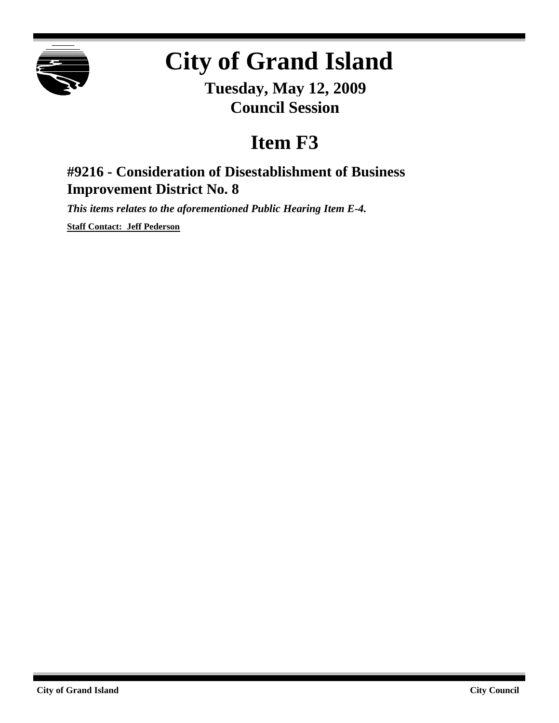

# **City of Grand Island**

**Tuesday, May 12, 2009 Council Session**

## **Item F3**

## **#9216 - Consideration of Disestablishment of Business Improvement District No. 8**

*This items relates to the aforementioned Public Hearing Item E-4.*

**Staff Contact: Jeff Pederson**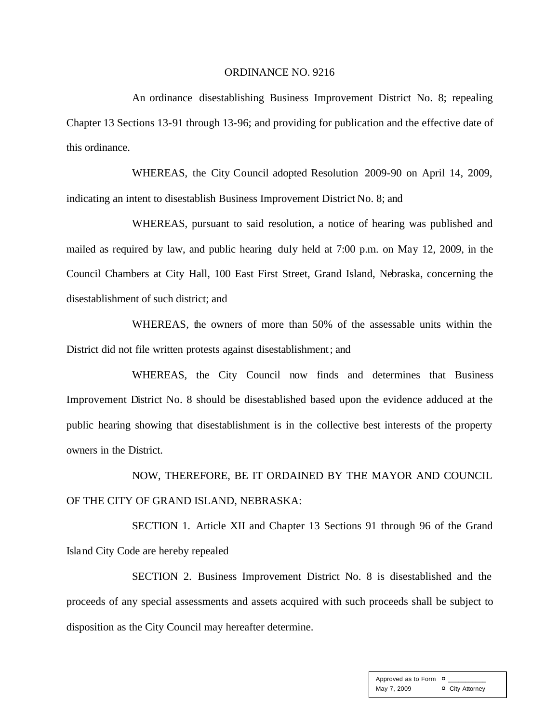### ORDINANCE NO. 9216

An ordinance disestablishing Business Improvement District No. 8; repealing Chapter 13 Sections 13-91 through 13-96; and providing for publication and the effective date of this ordinance.

WHEREAS, the City Council adopted Resolution 2009-90 on April 14, 2009, indicating an intent to disestablish Business Improvement District No. 8; and

WHEREAS, pursuant to said resolution, a notice of hearing was published and mailed as required by law, and public hearing duly held at 7:00 p.m. on May 12, 2009, in the Council Chambers at City Hall, 100 East First Street, Grand Island, Nebraska, concerning the disestablishment of such district; and

WHEREAS, the owners of more than 50% of the assessable units within the District did not file written protests against disestablishment; and

WHEREAS, the City Council now finds and determines that Business Improvement District No. 8 should be disestablished based upon the evidence adduced at the public hearing showing that disestablishment is in the collective best interests of the property owners in the District.

NOW, THEREFORE, BE IT ORDAINED BY THE MAYOR AND COUNCIL OF THE CITY OF GRAND ISLAND, NEBRASKA:

SECTION 1. Article XII and Chapter 13 Sections 91 through 96 of the Grand Island City Code are hereby repealed

SECTION 2. Business Improvement District No. 8 is disestablished and the proceeds of any special assessments and assets acquired with such proceeds shall be subject to disposition as the City Council may hereafter determine.